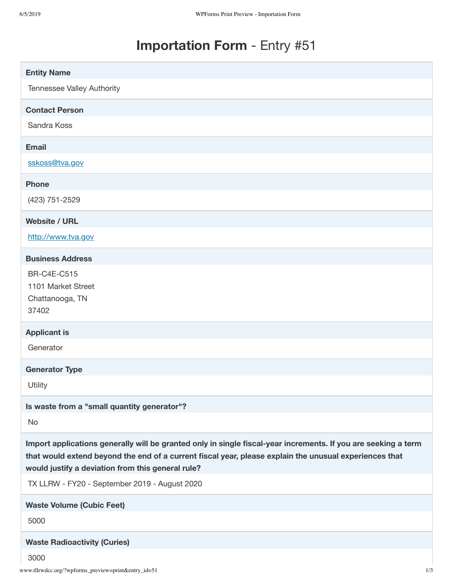# **Importation Form** - Entry #51

| <b>Entity Name</b>                                                                                                                                                                                                                                                            |
|-------------------------------------------------------------------------------------------------------------------------------------------------------------------------------------------------------------------------------------------------------------------------------|
| Tennessee Valley Authority                                                                                                                                                                                                                                                    |
| <b>Contact Person</b>                                                                                                                                                                                                                                                         |
| Sandra Koss                                                                                                                                                                                                                                                                   |
| <b>Email</b>                                                                                                                                                                                                                                                                  |
| sskoss@tva.gov                                                                                                                                                                                                                                                                |
| <b>Phone</b>                                                                                                                                                                                                                                                                  |
| (423) 751-2529                                                                                                                                                                                                                                                                |
| <b>Website / URL</b>                                                                                                                                                                                                                                                          |
| http://www.tva.gov                                                                                                                                                                                                                                                            |
| <b>Business Address</b>                                                                                                                                                                                                                                                       |
| <b>BR-C4E-C515</b><br>1101 Market Street<br>Chattanooga, TN<br>37402                                                                                                                                                                                                          |
| <b>Applicant is</b>                                                                                                                                                                                                                                                           |
| Generator                                                                                                                                                                                                                                                                     |
| <b>Generator Type</b>                                                                                                                                                                                                                                                         |
| Utility                                                                                                                                                                                                                                                                       |
| Is waste from a "small quantity generator"?                                                                                                                                                                                                                                   |
| No                                                                                                                                                                                                                                                                            |
| Import applications generally will be granted only in single fiscal-year increments. If you are seeking a term<br>that would extend beyond the end of a current fiscal year, please explain the unusual experiences that<br>would justify a deviation from this general rule? |
| TX LLRW - FY20 - September 2019 - August 2020                                                                                                                                                                                                                                 |
| <b>Waste Volume (Cubic Feet)</b>                                                                                                                                                                                                                                              |
| 5000                                                                                                                                                                                                                                                                          |
| <b>Waste Radioactivity (Curies)</b>                                                                                                                                                                                                                                           |
| 3000                                                                                                                                                                                                                                                                          |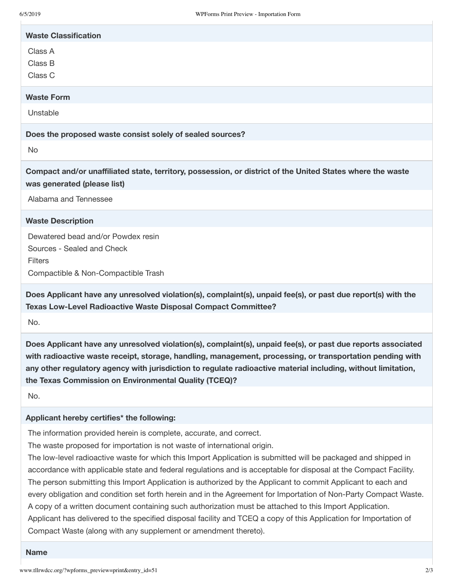| <b>Waste Classification</b> |
|-----------------------------|
| Class A                     |
| Class B                     |
| Class C                     |
| <b>Waste Form</b>           |
| Unstable                    |
|                             |

**Does the proposed waste consist solely of sealed sources?**

No

**Compact and/or unaffiliated state, territory, possession, or district of the United States where the waste was generated (please list)**

Alabama and Tennessee

**Waste Description**

Dewatered bead and/or Powdex resin Sources - Sealed and Check **Filters** Compactible & Non-Compactible Trash

**Does Applicant have any unresolved violation(s), complaint(s), unpaid fee(s), or past due report(s) with the Texas Low-Level Radioactive Waste Disposal Compact Committee?**

No.

**Does Applicant have any unresolved violation(s), complaint(s), unpaid fee(s), or past due reports associated with radioactive waste receipt, storage, handling, management, processing, or transportation pending with any other regulatory agency with jurisdiction to regulate radioactive material including, without limitation, the Texas Commission on Environmental Quality (TCEQ)?**

No.

#### **Applicant hereby certifies\* the following:**

The information provided herein is complete, accurate, and correct.

The waste proposed for importation is not waste of international origin.

The low-level radioactive waste for which this Import Application is submitted will be packaged and shipped in accordance with applicable state and federal regulations and is acceptable for disposal at the Compact Facility. The person submitting this Import Application is authorized by the Applicant to commit Applicant to each and every obligation and condition set forth herein and in the Agreement for Importation of Non-Party Compact Waste. A copy of a written document containing such authorization must be attached to this Import Application. Applicant has delivered to the specified disposal facility and TCEQ a copy of this Application for Importation of Compact Waste (along with any supplement or amendment thereto).

#### **Name**